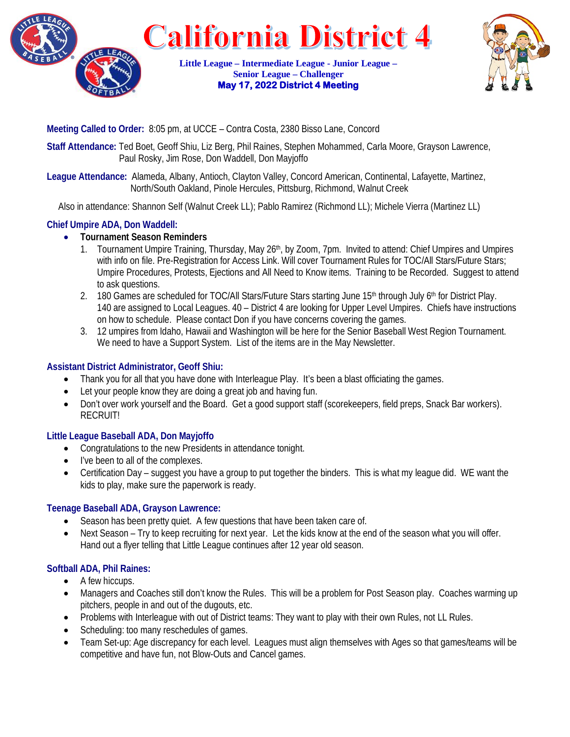



**Meeting Called to Order:** 8:05 pm, at UCCE – Contra Costa, 2380 Bisso Lane, Concord

**Staff Attendance:** Ted Boet, Geoff Shiu, Liz Berg, Phil Raines, Stephen Mohammed, Carla Moore, Grayson Lawrence, Paul Rosky, Jim Rose, Don Waddell, Don Mayjoffo

**League Attendance:** Alameda, Albany, Antioch, Clayton Valley, Concord American, Continental, Lafayette, Martinez, North/South Oakland, Pinole Hercules, Pittsburg, Richmond, Walnut Creek

Also in attendance: Shannon Self (Walnut Creek LL); Pablo Ramirez (Richmond LL); Michele Vierra (Martinez LL)

# **Chief Umpire ADA, Don Waddell:**

# • **Tournament Season Reminders**

- 1. Tournament Umpire Training, Thursday, May 26<sup>th</sup>, by Zoom, 7pm. Invited to attend: Chief Umpires and Umpires with info on file. Pre-Registration for Access Link. Will cover Tournament Rules for TOC/All Stars/Future Stars; Umpire Procedures, Protests, Ejections and All Need to Know items. Training to be Recorded. Suggest to attend to ask questions.
- 2. 180 Games are scheduled for TOC/All Stars/Future Stars starting June 15<sup>th</sup> through July 6<sup>th</sup> for District Play. 140 are assigned to Local Leagues. 40 – District 4 are looking for Upper Level Umpires. Chiefs have instructions on how to schedule. Please contact Don if you have concerns covering the games.
- 3. 12 umpires from Idaho, Hawaii and Washington will be here for the Senior Baseball West Region Tournament. We need to have a Support System. List of the items are in the May Newsletter.

# **Assistant District Administrator, Geoff Shiu:**

- Thank you for all that you have done with Interleague Play. It's been a blast officiating the games.
- Let your people know they are doing a great job and having fun.
- Don't over work yourself and the Board. Get a good support staff (scorekeepers, field preps, Snack Bar workers). RECRUIT!

# **Little League Baseball ADA, Don Mayjoffo**

- Congratulations to the new Presidents in attendance tonight.
- I've been to all of the complexes.
- Certification Day suggest you have a group to put together the binders. This is what my league did. WE want the kids to play, make sure the paperwork is ready.

## **Teenage Baseball ADA, Grayson Lawrence:**

- Season has been pretty quiet. A few questions that have been taken care of.
- Next Season Try to keep recruiting for next year. Let the kids know at the end of the season what you will offer. Hand out a flyer telling that Little League continues after 12 year old season.

## **Softball ADA, Phil Raines:**

- A few hiccups.
- Managers and Coaches still don't know the Rules. This will be a problem for Post Season play. Coaches warming up pitchers, people in and out of the dugouts, etc.
- Problems with Interleague with out of District teams: They want to play with their own Rules, not LL Rules.
- Scheduling: too many reschedules of games.
- Team Set-up: Age discrepancy for each level. Leagues must align themselves with Ages so that games/teams will be competitive and have fun, not Blow-Outs and Cancel games.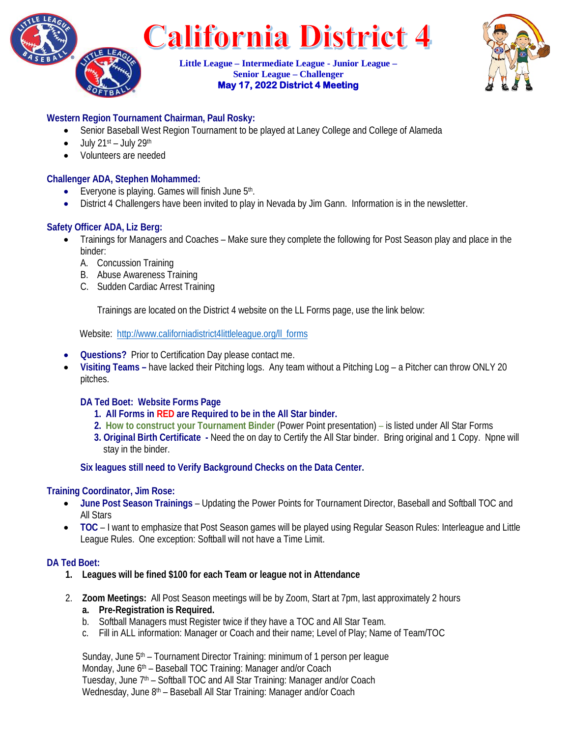



# **Western Region Tournament Chairman, Paul Rosky:**

- Senior Baseball West Region Tournament to be played at Laney College and College of Alameda
- $\bullet$  July 21st July 29th
- Volunteers are needed

## **Challenger ADA, Stephen Mohammed:**

- Everyone is playing. Games will finish June  $5<sup>th</sup>$ .
- District 4 Challengers have been invited to play in Nevada by Jim Gann. Information is in the newsletter.

## **Safety Officer ADA, Liz Berg:**

- Trainings for Managers and Coaches Make sure they complete the following for Post Season play and place in the binder:
	- A. Concussion Training
	- B. Abuse Awareness Training
	- C. Sudden Cardiac Arrest Training

Trainings are located on the District 4 website on the LL Forms page, use the link below:

Website: [http://www.californiadistrict4littleleague.org/ll\\_forms](http://www.californiadistrict4littleleague.org/ll_forms)

- **Questions?** Prior to Certification Day please contact me.
- **Visiting Teams –** have lacked their Pitching logs. Any team without a Pitching Log a Pitcher can throw ONLY 20 pitches.

## **DA Ted Boet: Website Forms Page**

- **1. All Forms in RED are Required to be in the All Star binder.**
- **2. [How to construct your Tournament Binder](https://files.secure.website/wscfus/10568722/30215705/all-star-and-toc-binder-guide-lu-051122.pdf)** (Power Point presentation) is listed under All Star Forms
- **3. Original Birth Certificate -** Need the on day to Certify the All Star binder. Bring original and 1 Copy. Npne will stay in the binder.

**Six leagues still need to Verify Background Checks on the Data Center.**

#### **Training Coordinator, Jim Rose:**

- **June Post Season Trainings** Updating the Power Points for Tournament Director, Baseball and Softball TOC and All Stars
- **TOC** I want to emphasize that Post Season games will be played using Regular Season Rules: Interleague and Little League Rules. One exception: Softball will not have a Time Limit.

## **DA Ted Boet:**

- **1. Leagues will be fined \$100 for each Team or league not in Attendance**
- 2. **Zoom Meetings:** All Post Season meetings will be by Zoom, Start at 7pm, last approximately 2 hours **a. Pre-Registration is Required.**
	- b. Softball Managers must Register twice if they have a TOC and All Star Team.
	- c. Fill in ALL information: Manager or Coach and their name; Level of Play; Name of Team/TOC

Sunday, June 5<sup>th</sup> – Tournament Director Training: minimum of 1 person per league Monday, June 6<sup>th</sup> – Baseball TOC Training: Manager and/or Coach Tuesday, June  $7<sup>th</sup>$  – Softball TOC and All Star Training: Manager and/or Coach Wednesday, June 8<sup>th</sup> – Baseball All Star Training: Manager and/or Coach